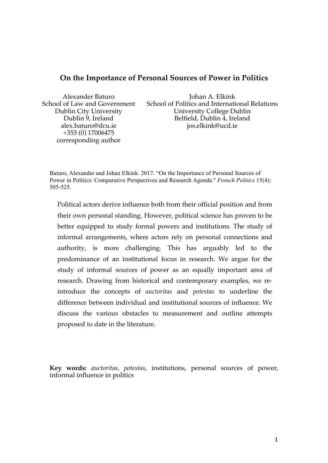# **On the Importance of Personal Sources of Power in Politics**

Alexander Baturo School of Law and Government Dublin City University Dublin 9, Ireland alex.baturo@dcu.ie +353 (0) 17006475 corresponding author

Johan A. Elkink School of Politics and International Relations University College Dublin Belfield, Dublin 4, Ireland jos.elkink@ucd.ie

Baturo, Alexander and Johan Elkink. 2017. "On the Importance of Personal Sources of Power in Politics: Comparative Perspectives and Research Agenda." *French Politics* 15(4): 505-525.

Political actors derive influence both from their official position and from their own personal standing. However, political science has proven to be better equipped to study formal powers and institutions. The study of informal arrangements, where actors rely on personal connections and authority, is more challenging. This has arguably led to the predominance of an institutional focus in research. We argue for the study of informal sources of power as an equally important area of research. Drawing from historical and contemporary examples, we reintroduce the concepts of *auctoritas* and *potestas* to underline the difference between individual and institutional sources of influence. We discuss the various obstacles to measurement and outline attempts proposed to date in the literature.

**Key words:** *auctoritas, potestas*, institutions, personal sources of power, informal influence in politics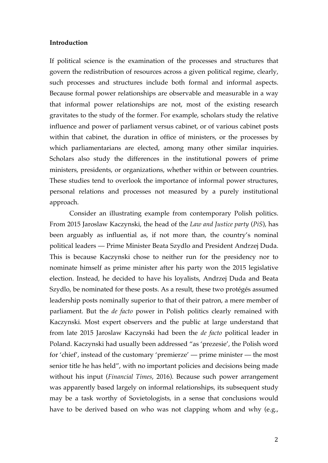## **Introduction**

If political science is the examination of the processes and structures that govern the redistribution of resources across a given political regime, clearly, such processes and structures include both formal and informal aspects. Because formal power relationships are observable and measurable in a way that informal power relationships are not, most of the existing research gravitates to the study of the former. For example, scholars study the relative influence and power of parliament versus cabinet, or of various cabinet posts within that cabinet, the duration in office of ministers, or the processes by which parliamentarians are elected, among many other similar inquiries. Scholars also study the differences in the institutional powers of prime ministers, presidents, or organizations, whether within or between countries. These studies tend to overlook the importance of informal power structures, personal relations and processes not measured by a purely institutional approach.

Consider an illustrating example from contemporary Polish politics. From 2015 Jaroslaw Kaczynski, the head of the *Law and Justice party* (*PiS*), has been arguably as influential as, if not more than, the country's nominal political leaders — Prime Minister Beata Szydlo and President Andrzej Duda. This is because Kaczynski chose to neither run for the presidency nor to nominate himself as prime minister after his party won the 2015 legislative election. Instead, he decided to have his loyalists, Andrzej Duda and Beata Szydlo, be nominated for these posts. As a result, these two protégés assumed leadership posts nominally superior to that of their patron, a mere member of parliament. But the *de facto* power in Polish politics clearly remained with Kaczynski. Most expert observers and the public at large understand that from late 2015 Jaroslaw Kaczynski had been the *de facto* political leader in Poland. Kaczynski had usually been addressed "as 'prezesie', the Polish word for 'chief', instead of the customary 'premierze' — prime minister — the most senior title he has held", with no important policies and decisions being made without his input (*Financial Times*, 2016). Because such power arrangement was apparently based largely on informal relationships, its subsequent study may be a task worthy of Sovietologists, in a sense that conclusions would have to be derived based on who was not clapping whom and why (e.g.,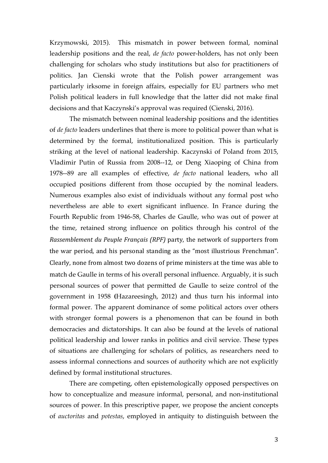Krzymowski, 2015). This mismatch in power between formal, nominal leadership positions and the real, *de facto* power-holders, has not only been challenging for scholars who study institutions but also for practitioners of politics. Jan Cienski wrote that the Polish power arrangement was particularly irksome in foreign affairs, especially for EU partners who met Polish political leaders in full knowledge that the latter did not make final decisions and that Kaczynski's approval was required (Cienski, 2016).

The mismatch between nominal leadership positions and the identities of *de facto* leaders underlines that there is more to political power than what is determined by the formal, institutionalized position. This is particularly striking at the level of national leadership. Kaczynski of Poland from 2015, Vladimir Putin of Russia from 2008--12, or Deng Xiaoping of China from 1978--89 are all examples of effective, *de facto* national leaders, who all occupied positions different from those occupied by the nominal leaders. Numerous examples also exist of individuals without any formal post who nevertheless are able to exert significant influence. In France during the Fourth Republic from 1946-58, Charles de Gaulle, who was out of power at the time, retained strong influence on politics through his control of the *Rassemblement du Peuple Français (RPF)* party, the network of supporters from the war period, and his personal standing as the "most illustrious Frenchman". Clearly, none from almost two dozens of prime ministers at the time was able to match de Gaulle in terms of his overall personal influence. Arguably, it is such personal sources of power that permitted de Gaulle to seize control of the government in 1958 **(**Hazareesingh, 2012) and thus turn his informal into formal power. The apparent dominance of some political actors over others with stronger formal powers is a phenomenon that can be found in both democracies and dictatorships. It can also be found at the levels of national political leadership and lower ranks in politics and civil service. These types of situations are challenging for scholars of politics, as researchers need to assess informal connections and sources of authority which are not explicitly defined by formal institutional structures.

There are competing, often epistemologically opposed perspectives on how to conceptualize and measure informal, personal, and non-institutional sources of power. In this prescriptive paper, we propose the ancient concepts of *auctoritas* and *potestas*, employed in antiquity to distinguish between the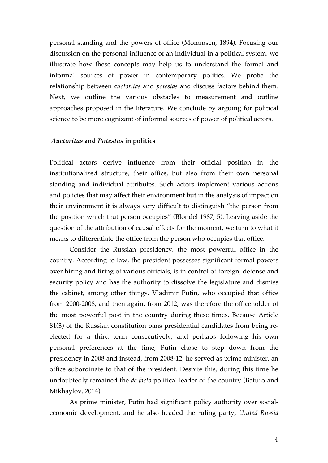personal standing and the powers of office (Mommsen, 1894). Focusing our discussion on the personal influence of an individual in a political system, we illustrate how these concepts may help us to understand the formal and informal sources of power in contemporary politics. We probe the relationship between *auctoritas* and *potestas* and discuss factors behind them. Next, we outline the various obstacles to measurement and outline approaches proposed in the literature. We conclude by arguing for political science to be more cognizant of informal sources of power of political actors.

#### *Auctoritas* **and** *Potestas* **in politics**

Political actors derive influence from their official position in the institutionalized structure, their office, but also from their own personal standing and individual attributes. Such actors implement various actions and policies that may affect their environment but in the analysis of impact on their environment it is always very difficult to distinguish "the person from the position which that person occupies" (Blondel 1987, 5). Leaving aside the question of the attribution of causal effects for the moment, we turn to what it means to differentiate the office from the person who occupies that office.

Consider the Russian presidency, the most powerful office in the country. According to law, the president possesses significant formal powers over hiring and firing of various officials, is in control of foreign, defense and security policy and has the authority to dissolve the legislature and dismiss the cabinet, among other things. Vladimir Putin, who occupied that office from 2000-2008, and then again, from 2012, was therefore the officeholder of the most powerful post in the country during these times. Because Article 81(3) of the Russian constitution bans presidential candidates from being reelected for a third term consecutively, and perhaps following his own personal preferences at the time, Putin chose to step down from the presidency in 2008 and instead, from 2008-12, he served as prime minister, an office subordinate to that of the president. Despite this, during this time he undoubtedly remained the *de facto* political leader of the country (Baturo and Mikhaylov, 2014).

As prime minister, Putin had significant policy authority over socialeconomic development, and he also headed the ruling party, *United Russia*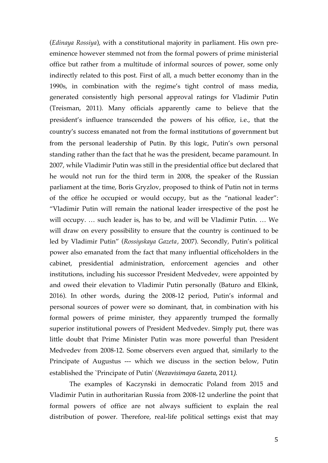(*Edinaya Rossiya*), with a constitutional majority in parliament. His own preeminence however stemmed not from the formal powers of prime ministerial office but rather from a multitude of informal sources of power, some only indirectly related to this post. First of all, a much better economy than in the 1990s, in combination with the regime's tight control of mass media, generated consistently high personal approval ratings for Vladimir Putin (Treisman, 2011). Many officials apparently came to believe that the president's influence transcended the powers of his office, i.e., that the country's success emanated not from the formal institutions of government but from the personal leadership of Putin. By this logic, Putin's own personal standing rather than the fact that he was the president, became paramount. In 2007, while Vladimir Putin was still in the presidential office but declared that he would not run for the third term in 2008, the speaker of the Russian parliament at the time, Boris Gryzlov, proposed to think of Putin not in terms of the office he occupied or would occupy, but as the "national leader": "Vladimir Putin will remain the national leader irrespective of the post he will occupy. … such leader is, has to be, and will be Vladimir Putin. … We will draw on every possibility to ensure that the country is continued to be led by Vladimir Putin" (*Rossiyskaya Gazeta*, 2007). Secondly, Putin's political power also emanated from the fact that many influential officeholders in the cabinet, presidential administration, enforcement agencies and other institutions, including his successor President Medvedev, were appointed by and owed their elevation to Vladimir Putin personally (Baturo and Elkink, 2016). In other words, during the 2008-12 period, Putin's informal and personal sources of power were so dominant, that, in combination with his formal powers of prime minister, they apparently trumped the formally superior institutional powers of President Medvedev. Simply put, there was little doubt that Prime Minister Putin was more powerful than President Medvedev from 2008-12. Some observers even argued that, similarly to the Principate of Augustus --- which we discuss in the section below, Putin established the `Principate of Putin' (*Nezavisimaya Gazeta,* 2011*).*

The examples of Kaczynski in democratic Poland from 2015 and Vladimir Putin in authoritarian Russia from 2008-12 underline the point that formal powers of office are not always sufficient to explain the real distribution of power. Therefore, real-life political settings exist that may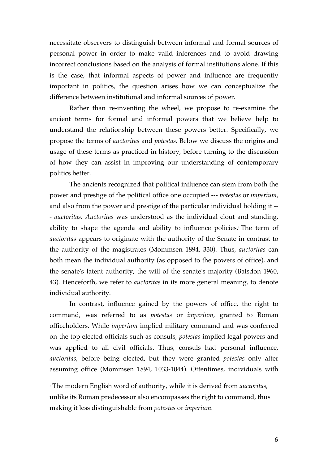necessitate observers to distinguish between informal and formal sources of personal power in order to make valid inferences and to avoid drawing incorrect conclusions based on the analysis of formal institutions alone. If this is the case, that informal aspects of power and influence are frequently important in politics, the question arises how we can conceptualize the difference between institutional and informal sources of power.

Rather than re-inventing the wheel, we propose to re-examine the ancient terms for formal and informal powers that we believe help to understand the relationship between these powers better. Specifically, we propose the terms of *auctoritas* and *potestas.* Below we discuss the origins and usage of these terms as practiced in history, before turning to the discussion of how they can assist in improving our understanding of contemporary politics better.

The ancients recognized that political influence can stem from both the power and prestige of the political office one occupied --- *potestas* or *imperium*, and also from the power and prestige of the particular individual holding it -- - *auctoritas*. *Auctoritas* was understood as the individual clout and standing, ability to shape the agenda and ability to influence policies. The term of *auctoritas* appears to originate with the authority of the Senate in contrast to the authority of the magistrates (Mommsen 1894, 330). Thus, *auctoritas* can both mean the individual authority (as opposed to the powers of office), and the senate's latent authority, the will of the senate's majority (Balsdon 1960, 43). Henceforth, we refer to *auctoritas* in its more general meaning, to denote individual authority.

In contrast, influence gained by the powers of office, the right to command, was referred to as *potestas* or *imperium*, granted to Roman officeholders. While *imperium* implied military command and was conferred on the top elected officials such as consuls, *potestas* implied legal powers and was applied to all civil officials. Thus, consuls had personal influence, *auctoritas*, before being elected, but they were granted *potestas* only after assuming office (Mommsen 1894, 1033-1044). Oftentimes, individuals with

<sup>1</sup> The modern English word of authority, while it is derived from *auctoritas*, unlike its Roman predecessor also encompasses the right to command, thus making it less distinguishable from *potestas* or *imperium*.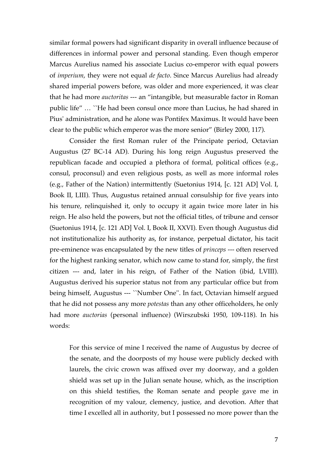similar formal powers had significant disparity in overall influence because of differences in informal power and personal standing. Even though emperor Marcus Aurelius named his associate Lucius co-emperor with equal powers of *imperium*, they were not equal *de facto*. Since Marcus Aurelius had already shared imperial powers before, was older and more experienced, it was clear that he had more *auctoritas* --- an "intangible, but measurable factor in Roman public life" … ``He had been consul once more than Lucius, he had shared in Pius' administration, and he alone was Pontifex Maximus. It would have been clear to the public which emperor was the more senior" (Birley 2000, 117).

Consider the first Roman ruler of the Principate period, Octavian Augustus (27 BC-14 AD). During his long reign Augustus preserved the republican facade and occupied a plethora of formal, political offices (e.g., consul, proconsul) and even religious posts, as well as more informal roles (e.g., Father of the Nation) intermittently (Suetonius 1914, [c. 121 AD] Vol. I, Book II, LIII). Thus, Augustus retained annual consulship for five years into his tenure, relinquished it, only to occupy it again twice more later in his reign. He also held the powers, but not the official titles, of tribune and censor (Suetonius 1914, [c. 121 AD] Vol. I, Book II, XXVI). Even though Augustus did not institutionalize his authority as, for instance, perpetual dictator, his tacit pre-eminence was encapsulated by the new titles of *princeps* --- often reserved for the highest ranking senator, which now came to stand for, simply, the first citizen --- and, later in his reign, of Father of the Nation (ibid, LVIII). Augustus derived his superior status not from any particular office but from being himself, Augustus --- ``Number One''. In fact, Octavian himself argued that he did not possess any more *potestas* than any other officeholders, he only had more *auctorias* (personal influence) (Wirszubski 1950, 109-118). In his words:

For this service of mine I received the name of Augustus by decree of the senate, and the doorposts of my house were publicly decked with laurels, the civic crown was affixed over my doorway, and a golden shield was set up in the Julian senate house, which, as the inscription on this shield testifies, the Roman senate and people gave me in recognition of my valour, clemency, justice, and devotion. After that time I excelled all in authority, but I possessed no more power than the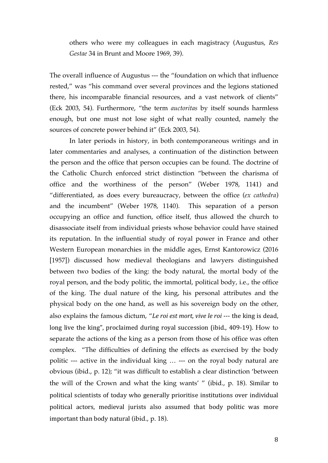others who were my colleagues in each magistracy (Augustus, *Res Gestae* 34 in Brunt and Moore 1969, 39).

The overall influence of Augustus --- the "foundation on which that influence rested," was "his command over several provinces and the legions stationed there, his incomparable financial resources, and a vast network of clients" (Eck 2003, 54). Furthermore, "the term *auctoritas* by itself sounds harmless enough, but one must not lose sight of what really counted, namely the sources of concrete power behind it" (Eck 2003, 54).

In later periods in history, in both contemporaneous writings and in later commentaries and analyses, a continuation of the distinction between the person and the office that person occupies can be found. The doctrine of the Catholic Church enforced strict distinction "between the charisma of office and the worthiness of the person" (Weber 1978, 1141) and "differentiated, as does every bureaucracy, between the office (*ex cathedra*) and the incumbent" (Weber 1978, 1140). This separation of a person occupying an office and function, office itself, thus allowed the church to disassociate itself from individual priests whose behavior could have stained its reputation. In the influential study of royal power in France and other Western European monarchies in the middle ages, Ernst Kantorowicz (2016 [1957]) discussed how medieval theologians and lawyers distinguished between two bodies of the king: the body natural, the mortal body of the royal person, and the body politic, the immortal, political body, i.e., the office of the king. The dual nature of the king, his personal attributes and the physical body on the one hand, as well as his sovereign body on the other, also explains the famous dictum, "*Le roi est mort, vive le roi* --- the king is dead, long live the king", proclaimed during royal succession (ibid., 409-19). How to separate the actions of the king as a person from those of his office was often complex. "The difficulties of defining the effects as exercised by the body politic --- active in the individual king … --- on the royal body natural are obvious (ibid., p. 12); "it was difficult to establish a clear distinction 'between the will of the Crown and what the king wants' " (ibid., p. 18). Similar to political scientists of today who generally prioritise institutions over individual political actors, medieval jurists also assumed that body politic was more important than body natural (ibid.,  $p. 18$ ).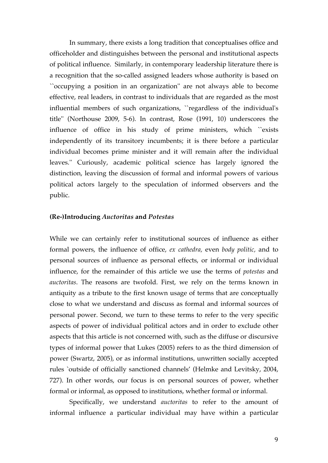In summary, there exists a long tradition that conceptualises office and officeholder and distinguishes between the personal and institutional aspects of political influence. Similarly, in contemporary leadership literature there is a recognition that the so-called assigned leaders whose authority is based on ``occupying a position in an organization'' are not always able to become effective, real leaders, in contrast to individuals that are regarded as the most influential members of such organizations, ``regardless of the individual's title'' (Northouse 2009, 5-6). In contrast, Rose (1991, 10) underscores the influence of office in his study of prime ministers, which ``exists independently of its transitory incumbents; it is there before a particular individual becomes prime minister and it will remain after the individual leaves.'' Curiously, academic political science has largely ignored the distinction, leaving the discussion of formal and informal powers of various political actors largely to the speculation of informed observers and the public.

#### **(Re-)Introducing** *Auctoritas* **and** *Potestas*

While we can certainly refer to institutional sources of influence as either formal powers, the influence of office, *ex cathedra,* even *body politic,* and to personal sources of influence as personal effects, or informal or individual influence, for the remainder of this article we use the terms of *potestas* and *auctoritas*. The reasons are twofold. First, we rely on the terms known in antiquity as a tribute to the first known usage of terms that are conceptually close to what we understand and discuss as formal and informal sources of personal power. Second, we turn to these terms to refer to the very specific aspects of power of individual political actors and in order to exclude other aspects that this article is not concerned with, such as the diffuse or discursive types of informal power that Lukes (2005) refers to as the third dimension of power (Swartz, 2005), or as informal institutions, unwritten socially accepted rules `outside of officially sanctioned channels' (Helmke and Levitsky, 2004, 727). In other words, our focus is on personal sources of power, whether formal or informal, as opposed to institutions, whether formal or informal.

Specifically, we understand *auctoritas* to refer to the amount of informal influence a particular individual may have within a particular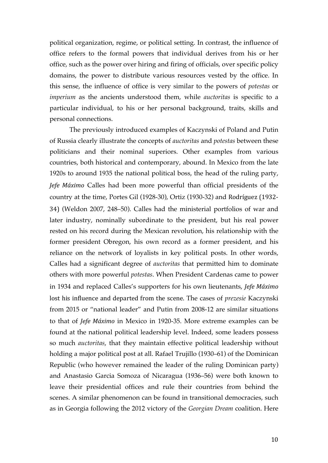political organization, regime, or political setting. In contrast, the influence of office refers to the formal powers that individual derives from his or her office, such as the power over hiring and firing of officials, over specific policy domains, the power to distribute various resources vested by the office. In this sense, the influence of office is very similar to the powers of *potestas* or *imperium* as the ancients understood them, while *auctoritas* is specific to a particular individual, to his or her personal background, traits, skills and personal connections.

The previously introduced examples of Kaczynski of Poland and Putin of Russia clearly illustrate the concepts of *auctoritas* and *potestas* between these politicians and their nominal superiors. Other examples from various countries, both historical and contemporary, abound. In Mexico from the late 1920s to around 1935 the national political boss, the head of the ruling party, *Jefe Máximo* Calles had been more powerful than official presidents of the country at the time, Portes Gil (1928-30), Ortiz (1930-32) and Rodríguez (1932-34) (Weldon 2007, 248–50). Calles had the ministerial portfolios of war and later industry, nominally subordinate to the president, but his real power rested on his record during the Mexican revolution, his relationship with the former president Obregon, his own record as a former president, and his reliance on the network of loyalists in key political posts. In other words, Calles had a significant degree of *auctoritas* that permitted him to dominate others with more powerful *potestas*. When President Cardenas came to power in 1934 and replaced Calles's supporters for his own lieutenants, *Jefe Máximo* lost his influence and departed from the scene. The cases of *prezesie* Kaczynski from 2015 or "national leader" and Putin from 2008-12 are similar situations to that of *Jefe Máximo* in Mexico in 1920-35. More extreme examples can be found at the national political leadership level. Indeed, some leaders possess so much *auctoritas*, that they maintain effective political leadership without holding a major political post at all. Rafael Trujillo (1930–61) of the Dominican Republic (who however remained the leader of the ruling Dominican party) and Anastasio Garcia Somoza of Nicaragua (1936–56) were both known to leave their presidential offices and rule their countries from behind the scenes. A similar phenomenon can be found in transitional democracies, such as in Georgia following the 2012 victory of the *Georgian Dream* coalition. Here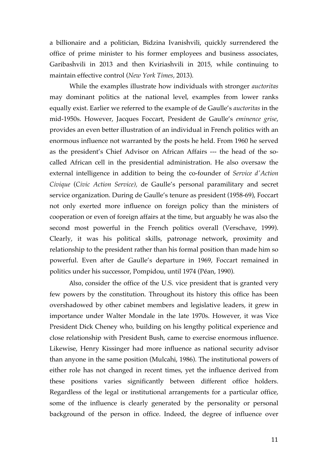a billionaire and a politician, Bidzina Ivanishvili, quickly surrendered the office of prime minister to his former employees and business associates, Garibashvili in 2013 and then Kviriashvili in 2015, while continuing to maintain effective control (*New York Times,* 2013).

While the examples illustrate how individuals with stronger *auctoritas*  may dominant politics at the national level, examples from lower ranks equally exist. Earlier we referred to the example of de Gaulle's *auctoritas* in the mid-1950s. However, Jacques Foccart, President de Gaulle's *eminence grise*, provides an even better illustration of an individual in French politics with an enormous influence not warranted by the posts he held. From 1960 he served as the president's Chief Advisor on African Affairs --- the head of the socalled African cell in the presidential administration. He also oversaw the external intelligence in addition to being the co-founder of *Service d'Action Civique* (*Civic Action Service),* de Gaulle's personal paramilitary and secret service organization. During de Gaulle's tenure as president (1958-69), Foccart not only exerted more influence on foreign policy than the ministers of cooperation or even of foreign affairs at the time, but arguably he was also the second most powerful in the French politics overall (Verschave, 1999). Clearly, it was his political skills, patronage network, proximity and relationship to the president rather than his formal position than made him so powerful. Even after de Gaulle's departure in 1969, Foccart remained in politics under his successor, Pompidou, until 1974 (Péan, 1990).

Also, consider the office of the U.S. vice president that is granted very few powers by the constitution. Throughout its history this office has been overshadowed by other cabinet members and legislative leaders, it grew in importance under Walter Mondale in the late 1970s. However, it was Vice President Dick Cheney who, building on his lengthy political experience and close relationship with President Bush, came to exercise enormous influence. Likewise, Henry Kissinger had more influence as national security advisor than anyone in the same position (Mulcahi, 1986). The institutional powers of either role has not changed in recent times, yet the influence derived from these positions varies significantly between different office holders. Regardless of the legal or institutional arrangements for a particular office, some of the influence is clearly generated by the personality or personal background of the person in office. Indeed, the degree of influence over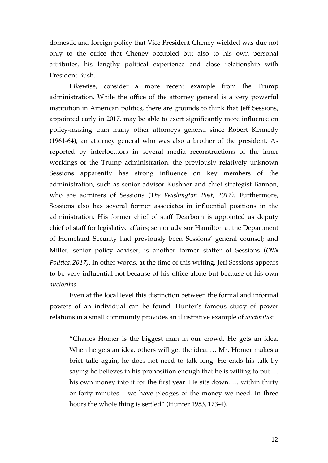domestic and foreign policy that Vice President Cheney wielded was due not only to the office that Cheney occupied but also to his own personal attributes, his lengthy political experience and close relationship with President Bush.

Likewise, consider a more recent example from the Trump administration. While the office of the attorney general is a very powerful institution in American politics, there are grounds to think that Jeff Sessions, appointed early in 2017, may be able to exert significantly more influence on policy-making than many other attorneys general since Robert Kennedy (1961-64), an attorney general who was also a brother of the president. As reported by interlocutors in several media reconstructions of the inner workings of the Trump administration, the previously relatively unknown Sessions apparently has strong influence on key members of the administration, such as senior advisor Kushner and chief strategist Bannon, who are admirers of Sessions (T*he Washington Post, 2017)*. Furthermore, Sessions also has several former associates in influential positions in the administration. His former chief of staff Dearborn is appointed as deputy chief of staff for legislative affairs; senior advisor Hamilton at the Department of Homeland Security had previously been Sessions' general counsel; and Miller, senior policy adviser, is another former staffer of Sessions (*CNN Politics, 2017*). In other words, at the time of this writing, Jeff Sessions appears to be very influential not because of his office alone but because of his own *auctoritas*.

Even at the local level this distinction between the formal and informal powers of an individual can be found. Hunter's famous study of power relations in a small community provides an illustrative example of *auctoritas*:

"Charles Homer is the biggest man in our crowd. He gets an idea. When he gets an idea, others will get the idea. … Mr. Homer makes a brief talk; again, he does not need to talk long. He ends his talk by saying he believes in his proposition enough that he is willing to put … his own money into it for the first year. He sits down. … within thirty or forty minutes – we have pledges of the money we need. In three hours the whole thing is settled" (Hunter 1953, 173-4).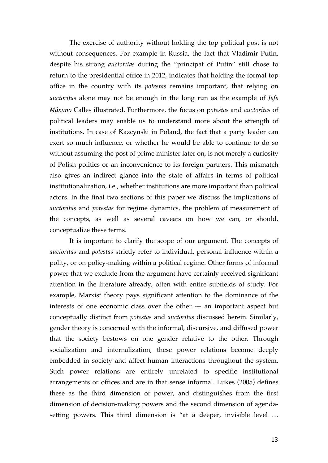The exercise of authority without holding the top political post is not without consequences. For example in Russia, the fact that Vladimir Putin, despite his strong *auctoritas* during the "principat of Putin" still chose to return to the presidential office in 2012, indicates that holding the formal top office in the country with its *potestas* remains important, that relying on *auctoritas* alone may not be enough in the long run as the example of *Jefe Máximo* Calles illustrated. Furthermore, the focus on p*otestas* and *auctoritas* of political leaders may enable us to understand more about the strength of institutions. In case of Kazcynski in Poland, the fact that a party leader can exert so much influence, or whether he would be able to continue to do so without assuming the post of prime minister later on, is not merely a curiosity of Polish politics or an inconvenience to its foreign partners. This mismatch also gives an indirect glance into the state of affairs in terms of political institutionalization, i.e., whether institutions are more important than political actors. In the final two sections of this paper we discuss the implications of *auctoritas* and *potestas* for regime dynamics, the problem of measurement of the concepts, as well as several caveats on how we can, or should, conceptualize these terms.

It is important to clarify the scope of our argument. The concepts of *auctoritas* and *potestas* strictly refer to individual, personal influence within a polity, or on policy-making within a political regime. Other forms of informal power that we exclude from the argument have certainly received significant attention in the literature already, often with entire subfields of study. For example, Marxist theory pays significant attention to the dominance of the interests of one economic class over the other --- an important aspect but conceptually distinct from *potestas* and *auctoritas* discussed herein. Similarly, gender theory is concerned with the informal, discursive, and diffused power that the society bestows on one gender relative to the other. Through socialization and internalization, these power relations become deeply embedded in society and affect human interactions throughout the system. Such power relations are entirely unrelated to specific institutional arrangements or offices and are in that sense informal. Lukes (2005) defines these as the third dimension of power, and distinguishes from the first dimension of decision-making powers and the second dimension of agendasetting powers. This third dimension is "at a deeper, invisible level …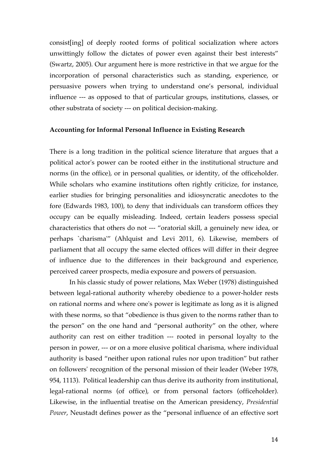consist[ing] of deeply rooted forms of political socialization where actors unwittingly follow the dictates of power even against their best interests" (Swartz, 2005). Our argument here is more restrictive in that we argue for the incorporation of personal characteristics such as standing, experience, or persuasive powers when trying to understand one's personal, individual influence --- as opposed to that of particular groups, institutions, classes, or other substrata of society --- on political decision-making.

## **Accounting for Informal Personal Influence in Existing Research**

There is a long tradition in the political science literature that argues that a political actor's power can be rooted either in the institutional structure and norms (in the office), or in personal qualities, or identity, of the officeholder. While scholars who examine institutions often rightly criticize, for instance, earlier studies for bringing personalities and idiosyncratic anecdotes to the fore (Edwards 1983, 100), to deny that individuals can transform offices they occupy can be equally misleading. Indeed, certain leaders possess special characteristics that others do not --- "oratorial skill, a genuinely new idea, or perhaps `charisma'" (Ahlquist and Levi 2011, 6). Likewise, members of parliament that all occupy the same elected offices will differ in their degree of influence due to the differences in their background and experience, perceived career prospects, media exposure and powers of persuasion.

In his classic study of power relations, Max Weber (1978) distinguished between legal-rational authority whereby obedience to a power-holder rests on rational norms and where one's power is legitimate as long as it is aligned with these norms, so that "obedience is thus given to the norms rather than to the person" on the one hand and "personal authority" on the other, where authority can rest on either tradition --- rooted in personal loyalty to the person in power, --- or on a more elusive political charisma, where individual authority is based "neither upon rational rules nor upon tradition" but rather on followers' recognition of the personal mission of their leader (Weber 1978, 954, 1113). Political leadership can thus derive its authority from institutional, legal-rational norms (of office), or from personal factors (officeholder). Likewise, in the influential treatise on the American presidency, *Presidential Power*, Neustadt defines power as the "personal influence of an effective sort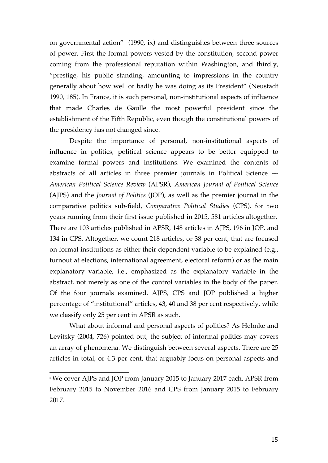on governmental action" (1990, ix) and distinguishes between three sources of power. First the formal powers vested by the constitution, second power coming from the professional reputation within Washington, and thirdly, "prestige, his public standing, amounting to impressions in the country generally about how well or badly he was doing as its President" (Neustadt 1990, 185). In France, it is such personal, non-institutional aspects of influence that made Charles de Gaulle the most powerful president since the establishment of the Fifth Republic, even though the constitutional powers of the presidency has not changed since.

Despite the importance of personal, non-institutional aspects of influence in politics, political science appears to be better equipped to examine formal powers and institutions. We examined the contents of abstracts of all articles in three premier journals in Political Science --- *American Political Science Review* (APSR), *American Journal of Political Science* (AJPS) and the *Journal of Politics* (JOP), as well as the premier journal in the comparative politics sub-field, *Comparative Political Studies* (CPS), for two years running from their first issue published in 2015, 581 articles altogether.<sup>2</sup> There are 103 articles published in APSR, 148 articles in AJPS, 196 in JOP, and 134 in CPS. Altogether, we count 218 articles, or 38 per cent, that are focused on formal institutions as either their dependent variable to be explained (e.g., turnout at elections, international agreement, electoral reform) or as the main explanatory variable, i.e., emphasized as the explanatory variable in the abstract, not merely as one of the control variables in the body of the paper. Of the four journals examined, AJPS, CPS and JOP published a higher percentage of "institutional" articles, 43, 40 and 38 per cent respectively, while we classify only 25 per cent in APSR as such.

What about informal and personal aspects of politics? As Helmke and Levitsky (2004, 726) pointed out, the subject of informal politics may covers an array of phenomena. We distinguish between several aspects. There are 25 articles in total, or 4.3 per cent, that arguably focus on personal aspects and

<sup>&</sup>lt;sup>2</sup> We cover AJPS and JOP from January 2015 to January 2017 each, APSR from February 2015 to November 2016 and CPS from January 2015 to February 2017.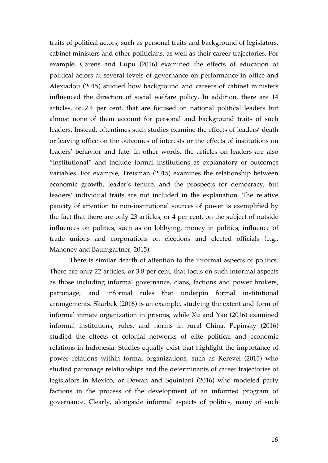traits of political actors, such as personal traits and background of legislators, cabinet ministers and other politicians, as well as their career trajectories. For example, Carens and Lupu (2016) examined the effects of education of political actors at several levels of governance on performance in office and Alexiadou (2015) studied how background and careers of cabinet ministers influenced the direction of social welfare policy. In addition, there are 14 articles, or 2.4 per cent, that are focused on national political leaders but almost none of them account for personal and background traits of such leaders. Instead, oftentimes such studies examine the effects of leaders' death or leaving office on the outcomes of interests or the effects of institutions on leaders' behavior and fate. In other words, the articles on leaders are also "institutional" and include formal institutions as explanatory or outcomes variables. For example, Treisman (2015) examines the relationship between economic growth, leader's tenure, and the prospects for democracy, but leaders' individual traits are not included in the explanation. The relative paucity of attention to non-institutional sources of power is exemplified by the fact that there are only 23 articles, or 4 per cent, on the subject of outside influences on politics, such as on lobbying, money in politics, influence of trade unions and corporations on elections and elected officials (e.g., Mahoney and Baumgartner, 2015).

There is similar dearth of attention to the informal aspects of politics. There are only 22 articles, or 3.8 per cent, that focus on such informal aspects as those including informal governance, clans, factions and power brokers, patronage, and informal rules that underpin formal institutional arrangements. Skarbek (2016) is an example, studying the extent and form of informal inmate organization in prisons, while Xu and Yao (2016) examined informal institutions, rules, and norms in rural China. Pepinsky (2016) studied the effects of colonial networks of elite political and economic relations in Indonesia. Studies equally exist that highlight the importance of power relations within formal organizations, such as Kerevel (2015) who studied patronage relationships and the determinants of career trajectories of legislators in Mexico, or Dewan and Squintani (2016) who modeled party factions in the process of the development of an informed program of governance. Clearly, alongside informal aspects of politics, many of such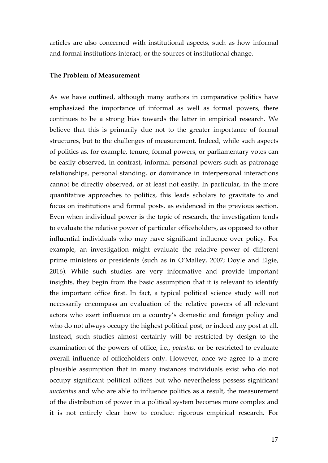articles are also concerned with institutional aspects, such as how informal and formal institutions interact, or the sources of institutional change.

### **The Problem of Measurement**

As we have outlined, although many authors in comparative politics have emphasized the importance of informal as well as formal powers, there continues to be a strong bias towards the latter in empirical research. We believe that this is primarily due not to the greater importance of formal structures, but to the challenges of measurement. Indeed, while such aspects of politics as, for example, tenure, formal powers, or parliamentary votes can be easily observed, in contrast, informal personal powers such as patronage relationships, personal standing, or dominance in interpersonal interactions cannot be directly observed, or at least not easily. In particular, in the more quantitative approaches to politics, this leads scholars to gravitate to and focus on institutions and formal posts, as evidenced in the previous section. Even when individual power is the topic of research, the investigation tends to evaluate the relative power of particular officeholders, as opposed to other influential individuals who may have significant influence over policy. For example, an investigation might evaluate the relative power of different prime ministers or presidents (such as in O'Malley, 2007; Doyle and Elgie, 2016). While such studies are very informative and provide important insights, they begin from the basic assumption that it is relevant to identify the important office first. In fact, a typical political science study will not necessarily encompass an evaluation of the relative powers of all relevant actors who exert influence on a country's domestic and foreign policy and who do not always occupy the highest political post, or indeed any post at all. Instead, such studies almost certainly will be restricted by design to the examination of the powers of office, i.e., *potestas*, or be restricted to evaluate overall influence of officeholders only. However, once we agree to a more plausible assumption that in many instances individuals exist who do not occupy significant political offices but who nevertheless possess significant *auctoritas* and who are able to influence politics as a result, the measurement of the distribution of power in a political system becomes more complex and it is not entirely clear how to conduct rigorous empirical research. For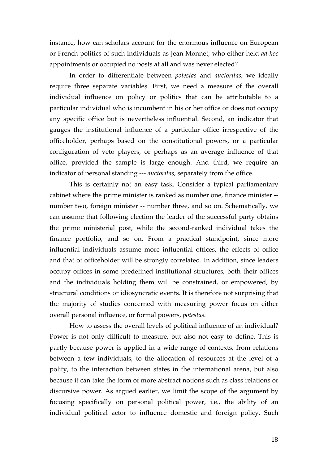instance, how can scholars account for the enormous influence on European or French politics of such individuals as Jean Monnet, who either held *ad hoc* appointments or occupied no posts at all and was never elected?

In order to differentiate between *potestas* and *auctoritas*, we ideally require three separate variables. First, we need a measure of the overall individual influence on policy or politics that can be attributable to a particular individual who is incumbent in his or her office or does not occupy any specific office but is nevertheless influential. Second, an indicator that gauges the institutional influence of a particular office irrespective of the officeholder, perhaps based on the constitutional powers, or a particular configuration of veto players, or perhaps as an average influence of that office, provided the sample is large enough. And third, we require an indicator of personal standing --- *auctoritas*, separately from the office.

This is certainly not an easy task. Consider a typical parliamentary cabinet where the prime minister is ranked as number one, finance minister - number two, foreign minister -- number three, and so on. Schematically, we can assume that following election the leader of the successful party obtains the prime ministerial post, while the second-ranked individual takes the finance portfolio, and so on. From a practical standpoint, since more influential individuals assume more influential offices, the effects of office and that of officeholder will be strongly correlated. In addition, since leaders occupy offices in some predefined institutional structures, both their offices and the individuals holding them will be constrained, or empowered, by structural conditions or idiosyncratic events. It is therefore not surprising that the majority of studies concerned with measuring power focus on either overall personal influence, or formal powers, *potestas*.

How to assess the overall levels of political influence of an individual? Power is not only difficult to measure, but also not easy to define. This is partly because power is applied in a wide range of contexts, from relations between a few individuals, to the allocation of resources at the level of a polity, to the interaction between states in the international arena, but also because it can take the form of more abstract notions such as class relations or discursive power. As argued earlier, we limit the scope of the argument by focusing specifically on personal political power, i.e., the ability of an individual political actor to influence domestic and foreign policy. Such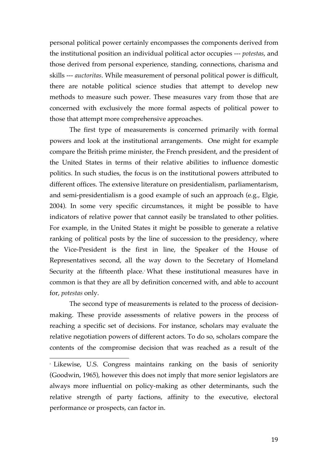personal political power certainly encompasses the components derived from the institutional position an individual political actor occupies --- *potestas*, and those derived from personal experience, standing, connections, charisma and skills --- *auctoritas*. While measurement of personal political power is difficult, there are notable political science studies that attempt to develop new methods to measure such power. These measures vary from those that are concerned with exclusively the more formal aspects of political power to those that attempt more comprehensive approaches.

The first type of measurements is concerned primarily with formal powers and look at the institutional arrangements. One might for example compare the British prime minister, the French president, and the president of the United States in terms of their relative abilities to influence domestic politics. In such studies, the focus is on the institutional powers attributed to different offices. The extensive literature on presidentialism, parliamentarism, and semi-presidentialism is a good example of such an approach (e.g., Elgie, 2004). In some very specific circumstances, it might be possible to have indicators of relative power that cannot easily be translated to other polities. For example, in the United States it might be possible to generate a relative ranking of political posts by the line of succession to the presidency, where the Vice-President is the first in line, the Speaker of the House of Representatives second, all the way down to the Secretary of Homeland Security at the fifteenth place.<sup>3</sup> What these institutional measures have in common is that they are all by definition concerned with, and able to account for, *potestas* only.

The second type of measurements is related to the process of decisionmaking. These provide assessments of relative powers in the process of reaching a specific set of decisions. For instance, scholars may evaluate the relative negotiation powers of different actors. To do so, scholars compare the contents of the compromise decision that was reached as a result of the

<sup>3</sup> Likewise, U.S. Congress maintains ranking on the basis of seniority (Goodwin, 1965), however this does not imply that more senior legislators are always more influential on policy-making as other determinants, such the relative strength of party factions, affinity to the executive, electoral performance or prospects, can factor in.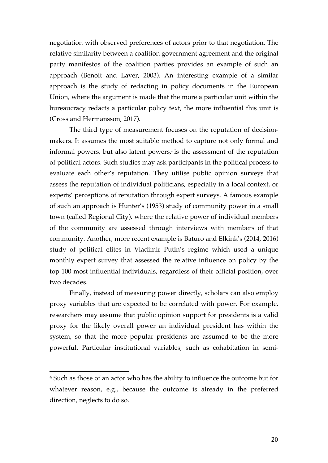negotiation with observed preferences of actors prior to that negotiation. The relative similarity between a coalition government agreement and the original party manifestos of the coalition parties provides an example of such an approach (Benoit and Laver, 2003). An interesting example of a similar approach is the study of redacting in policy documents in the European Union, where the argument is made that the more a particular unit within the bureaucracy redacts a particular policy text, the more influential this unit is (Cross and Hermansson, 2017).

The third type of measurement focuses on the reputation of decisionmakers. It assumes the most suitable method to capture not only formal and informal powers, but also latent powers, <sup>4</sup> is the assessment of the reputation of political actors. Such studies may ask participants in the political process to evaluate each other's reputation. They utilise public opinion surveys that assess the reputation of individual politicians, especially in a local context, or experts' perceptions of reputation through expert surveys. A famous example of such an approach is Hunter's (1953) study of community power in a small town (called Regional City), where the relative power of individual members of the community are assessed through interviews with members of that community. Another, more recent example is Baturo and Elkink's (2014, 2016) study of political elites in Vladimir Putin's regime which used a unique monthly expert survey that assessed the relative influence on policy by the top 100 most influential individuals, regardless of their official position, over two decades.

Finally, instead of measuring power directly, scholars can also employ proxy variables that are expected to be correlated with power. For example, researchers may assume that public opinion support for presidents is a valid proxy for the likely overall power an individual president has within the system, so that the more popular presidents are assumed to be the more powerful. Particular institutional variables, such as cohabitation in semi-

<sup>4</sup> Such as those of an actor who has the ability to influence the outcome but for whatever reason, e.g., because the outcome is already in the preferred direction, neglects to do so.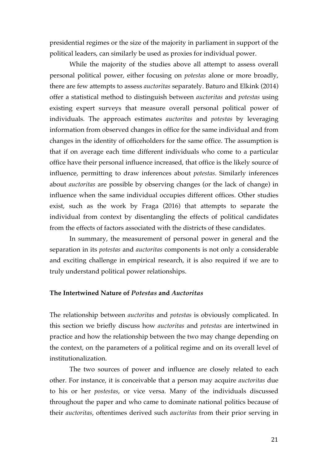presidential regimes or the size of the majority in parliament in support of the political leaders, can similarly be used as proxies for individual power.

While the majority of the studies above all attempt to assess overall personal political power, either focusing on *potestas* alone or more broadly, there are few attempts to assess *auctoritas* separately. Baturo and Elkink (2014) offer a statistical method to distinguish between *auctoritas* and *potestas* using existing expert surveys that measure overall personal political power of individuals. The approach estimates *auctoritas* and *potestas* by leveraging information from observed changes in office for the same individual and from changes in the identity of officeholders for the same office. The assumption is that if on average each time different individuals who come to a particular office have their personal influence increased, that office is the likely source of influence, permitting to draw inferences about *potestas*. Similarly inferences about *auctoritas* are possible by observing changes (or the lack of change) in influence when the same individual occupies different offices. Other studies exist, such as the work by Fraga (2016) that attempts to separate the individual from context by disentangling the effects of political candidates from the effects of factors associated with the districts of these candidates.

In summary, the measurement of personal power in general and the separation in its *potestas* and *auctoritas* components is not only a considerable and exciting challenge in empirical research, it is also required if we are to truly understand political power relationships.

### **The Intertwined Nature of** *Potestas* **and** *Auctoritas*

The relationship between *auctoritas* and *potestas* is obviously complicated. In this section we briefly discuss how *auctoritas* and *potestas* are intertwined in practice and how the relationship between the two may change depending on the context, on the parameters of a political regime and on its overall level of institutionalization.

The two sources of power and influence are closely related to each other. For instance, it is conceivable that a person may acquire *auctoritas* due to his or her *postestas*, or vice versa. Many of the individuals discussed throughout the paper and who came to dominate national politics because of their *auctoritas*, oftentimes derived such *auctoritas* from their prior serving in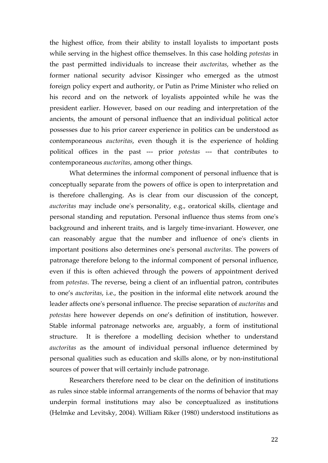the highest office, from their ability to install loyalists to important posts while serving in the highest office themselves. In this case holding *potestas* in the past permitted individuals to increase their *auctoritas*, whether as the former national security advisor Kissinger who emerged as the utmost foreign policy expert and authority, or Putin as Prime Minister who relied on his record and on the network of loyalists appointed while he was the president earlier. However, based on our reading and interpretation of the ancients, the amount of personal influence that an individual political actor possesses due to his prior career experience in politics can be understood as contemporaneous *auctoritas*, even though it is the experience of holding political offices in the past --- prior *potestas* --- that contributes to contemporaneous *auctoritas*, among other things.

What determines the informal component of personal influence that is conceptually separate from the powers of office is open to interpretation and is therefore challenging. As is clear from our discussion of the concept, *auctoritas* may include one's personality, e.g., oratorical skills, clientage and personal standing and reputation. Personal influence thus stems from one's background and inherent traits, and is largely time-invariant. However, one can reasonably argue that the number and influence of one's clients in important positions also determines one's personal *auctoritas*. The powers of patronage therefore belong to the informal component of personal influence, even if this is often achieved through the powers of appointment derived from *potestas*. The reverse, being a client of an influential patron, contributes to one's *auctoritas*, i.e., the position in the informal elite network around the leader affects one's personal influence. The precise separation of *auctoritas* and *potestas* here however depends on one's definition of institution, however. Stable informal patronage networks are, arguably, a form of institutional structure. It is therefore a modelling decision whether to understand *auctoritas* as the amount of individual personal influence determined by personal qualities such as education and skills alone, or by non-institutional sources of power that will certainly include patronage.

Researchers therefore need to be clear on the definition of institutions as rules since stable informal arrangements of the norms of behavior that may underpin formal institutions may also be conceptualized as institutions (Helmke and Levitsky, 2004). William Riker (1980) understood institutions as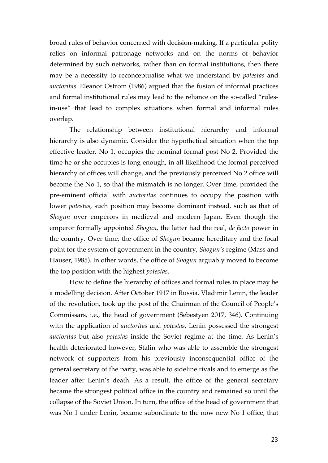broad rules of behavior concerned with decision-making. If a particular polity relies on informal patronage networks and on the norms of behavior determined by such networks, rather than on formal institutions, then there may be a necessity to reconceptualise what we understand by *potestas* and *auctoritas*. Eleanor Ostrom (1986) argued that the fusion of informal practices and formal institutional rules may lead to the reliance on the so-called "rulesin-use" that lead to complex situations when formal and informal rules overlap.

The relationship between institutional hierarchy and informal hierarchy is also dynamic. Consider the hypothetical situation when the top effective leader, No 1, occupies the nominal formal post No 2. Provided the time he or she occupies is long enough, in all likelihood the formal perceived hierarchy of offices will change, and the previously perceived No 2 office will become the No 1, so that the mismatch is no longer. Over time, provided the pre-eminent official with *auctoritas* continues to occupy the position with lower *potestas,* such position may become dominant instead, such as that of *Shogun* over emperors in medieval and modern Japan. Even though the emperor formally appointed *Shogun,* the latter had the real, *de facto* power in the country. Over time, the office of *Shogun* became hereditary and the focal point for the system of government in the country, *Shogun's* regime (Mass and Hauser, 1985). In other words, the office of *Shogun* arguably moved to become the top position with the highest *potestas*.

How to define the hierarchy of offices and formal rules in place may be a modelling decision. After October 1917 in Russia, Vladimir Lenin, the leader of the revolution, took up the post of the Chairman of the Council of People's Commissars, i.e., the head of government (Sebestyen 2017, 346). Continuing with the application of *auctoritas* and *potestas*, Lenin possessed the strongest *auctoritas* but also *potestas* inside the Soviet regime at the time. As Lenin's health deteriorated however, Stalin who was able to assemble the strongest network of supporters from his previously inconsequential office of the general secretary of the party, was able to sideline rivals and to emerge as the leader after Lenin's death. As a result, the office of the general secretary became the strongest political office in the country and remained so until the collapse of the Soviet Union. In turn, the office of the head of government that was No 1 under Lenin, became subordinate to the now new No 1 office, that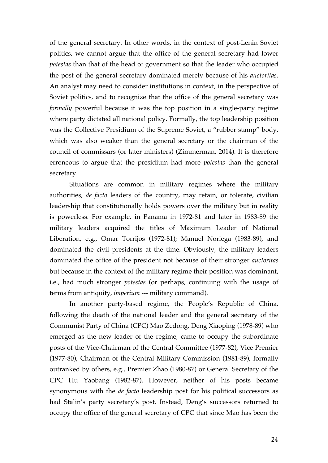of the general secretary. In other words, in the context of post-Lenin Soviet politics, we cannot argue that the office of the general secretary had lower *potestas* than that of the head of government so that the leader who occupied the post of the general secretary dominated merely because of his *auctoritas*. An analyst may need to consider institutions in context, in the perspective of Soviet politics, and to recognize that the office of the general secretary was *formally* powerful because it was the top position in a single-party regime where party dictated all national policy. Formally, the top leadership position was the Collective Presidium of the Supreme Soviet, a "rubber stamp" body, which was also weaker than the general secretary or the chairman of the council of commissars (or later ministers) (Zimmerman, 2014). It is therefore erroneous to argue that the presidium had more *potestas* than the general secretary.

Situations are common in military regimes where the military authorities, *de facto* leaders of the country, may retain, or tolerate, civilian leadership that constitutionally holds powers over the military but in reality is powerless. For example, in Panama in 1972-81 and later in 1983-89 the military leaders acquired the titles of Maximum Leader of National Liberation, e.g., Omar Torrijos (1972-81); Manuel Noriega (1983-89), and dominated the civil presidents at the time. Obviously, the military leaders dominated the office of the president not because of their stronger *auctoritas* but because in the context of the military regime their position was dominant, i.e., had much stronger *potestas* (or perhaps, continuing with the usage of terms from antiquity, *imperium* --- military command).

In another party-based regime, the People's Republic of China, following the death of the national leader and the general secretary of the Communist Party of China (CPC) Mao Zedong, Deng Xiaoping (1978-89) who emerged as the new leader of the regime, came to occupy the subordinate posts of the Vice-Chairman of the Central Committee (1977-82), Vice Premier (1977-80), Chairman of the Central Military Commission (1981-89), formally outranked by others, e.g., Premier Zhao (1980-87) or General Secretary of the CPC Hu Yaobang (1982-87). However, neither of his posts became synonymous with the *de facto* leadership post for his political successors as had Stalin's party secretary's post. Instead, Deng's successors returned to occupy the office of the general secretary of CPC that since Mao has been the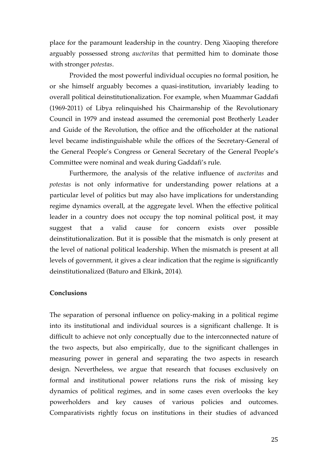place for the paramount leadership in the country. Deng Xiaoping therefore arguably possessed strong *auctoritas* that permitted him to dominate those with stronger *potestas*.

Provided the most powerful individual occupies no formal position, he or she himself arguably becomes a quasi-institution, invariably leading to overall political deinstitutionalization. For example, when Muammar Gaddafi (1969-2011) of Libya relinquished his Chairmanship of the Revolutionary Council in 1979 and instead assumed the ceremonial post Brotherly Leader and Guide of the Revolution, the office and the officeholder at the national level became indistinguishable while the offices of the Secretary-General of the General People's Congress or General Secretary of the General People's Committee were nominal and weak during Gaddafi's rule.

Furthermore, the analysis of the relative influence of *auctoritas* and *potestas* is not only informative for understanding power relations at a particular level of politics but may also have implications for understanding regime dynamics overall, at the aggregate level. When the effective political leader in a country does not occupy the top nominal political post, it may suggest that a valid cause for concern exists over possible deinstitutionalization. But it is possible that the mismatch is only present at the level of national political leadership. When the mismatch is present at all levels of government, it gives a clear indication that the regime is significantly deinstitutionalized (Baturo and Elkink, 2014).

## **Conclusions**

The separation of personal influence on policy-making in a political regime into its institutional and individual sources is a significant challenge. It is difficult to achieve not only conceptually due to the interconnected nature of the two aspects, but also empirically, due to the significant challenges in measuring power in general and separating the two aspects in research design. Nevertheless, we argue that research that focuses exclusively on formal and institutional power relations runs the risk of missing key dynamics of political regimes, and in some cases even overlooks the key powerholders and key causes of various policies and outcomes. Comparativists rightly focus on institutions in their studies of advanced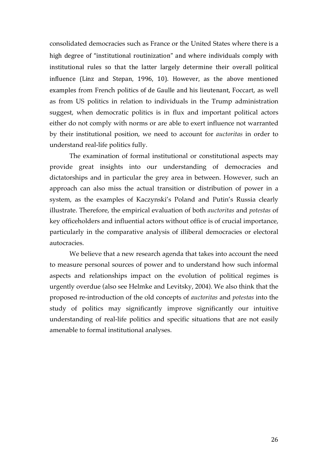consolidated democracies such as France or the United States where there is a high degree of "institutional routinization" and where individuals comply with institutional rules so that the latter largely determine their overall political influence (Linz and Stepan, 1996, 10). However, as the above mentioned examples from French politics of de Gaulle and his lieutenant, Foccart, as well as from US politics in relation to individuals in the Trump administration suggest, when democratic politics is in flux and important political actors either do not comply with norms or are able to exert influence not warranted by their institutional position, we need to account for *auctoritas* in order to understand real-life politics fully.

The examination of formal institutional or constitutional aspects may provide great insights into our understanding of democracies and dictatorships and in particular the grey area in between. However, such an approach can also miss the actual transition or distribution of power in a system, as the examples of Kaczynski's Poland and Putin's Russia clearly illustrate. Therefore, the empirical evaluation of both *auctoritas* and *potestas* of key officeholders and influential actors without office is of crucial importance, particularly in the comparative analysis of illiberal democracies or electoral autocracies.

We believe that a new research agenda that takes into account the need to measure personal sources of power and to understand how such informal aspects and relationships impact on the evolution of political regimes is urgently overdue (also see Helmke and Levitsky, 2004). We also think that the proposed re-introduction of the old concepts of *auctoritas* and *potestas* into the study of politics may significantly improve significantly our intuitive understanding of real-life politics and specific situations that are not easily amenable to formal institutional analyses.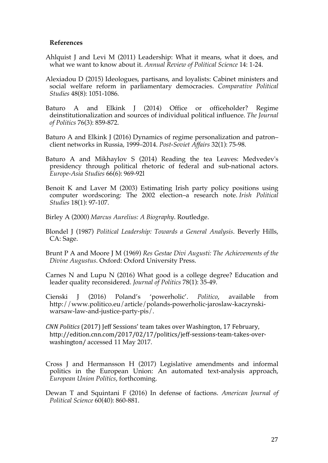# **References**

- Ahlquist J and Levi M (2011) Leadership: What it means, what it does, and what we want to know about it. *Annual Review of Political Science* 14: 1-24.
- Alexiadou D (2015) Ideologues, partisans, and loyalists: Cabinet ministers and social welfare reform in parliamentary democracies. *Comparative Political Studies* 48(8): 1051-1086.
- Baturo A and Elkink J (2014) Office or officeholder? Regime deinstitutionalization and sources of individual political influence. *The Journal of Politics* 76(3): 859-872.
- Baturo A and Elkink J (2016) Dynamics of regime personalization and patron– client networks in Russia, 1999–2014. *Post-Soviet Affairs* 32(1): 75-98.
- Baturo A and Mikhaylov S (2014) Reading the tea Leaves: Medvedev's presidency through political rhetoric of federal and sub-national actors. *Europe-Asia Studies* 66(6): 969-92l
- Benoit K and Laver M (2003) Estimating Irish party policy positions using computer wordscoring: The 2002 election–a research note. *Irish Political Studies* 18(1): 97-107.
- Birley A (2000) *Marcus Aurelius: A Biography*. Routledge.
- Blondel J (1987) *Political Leadership: Towards a General Analysis*. Beverly Hills, CA: Sage.
- Brunt P A and Moore J M (1969) *Res Gestae Divi Augusti: The Achievements of the Divine Augustus*. Oxford: Oxford University Press.
- Carnes N and Lupu N (2016) What good is a college degree? Education and leader quality reconsidered. *Journal of Politics* 78(1): 35-49.
- Cienski J (2016) Poland's 'powerholic'. *Politico*, available from http://www.politico.eu/article/polands-powerholic-jaroslaw-kaczynskiwarsaw-law-and-justice-party-pis/.
- *CNN Politics* (2017) Jeff Sessions' team takes over Washington, 17 February, http://edition.cnn.com/2017/02/17/politics/jeff-sessions-team-takes-overwashington/ accessed 11 May 2017.
- Cross J and Hermansson H (2017) Legislative amendments and informal politics in the European Union: An automated text-analysis approach, *European Union Politics*, forthcoming.
- Dewan T and Squintani F (2016) In defense of factions. *American Journal of Political Science* 60(40): 860-881.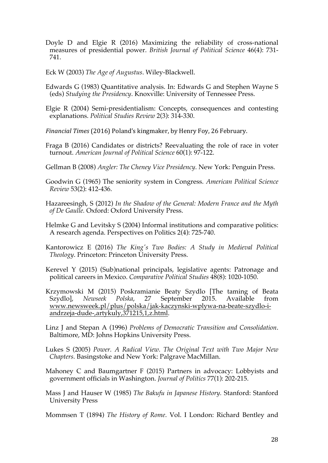- Doyle D and Elgie R (2016) Maximizing the reliability of cross-national measures of presidential power. *British Journal of Political Science* 46(4): 731- 741.
- Eck W (2003) *The Age of Augustus*. Wiley-Blackwell.
- Edwards G (1983) Quantitative analysis. In: Edwards G and Stephen Wayne S (eds) *Studying the Presidency*. Knoxville: University of Tennessee Press.
- Elgie R (2004) Semi-presidentialism: Concepts, consequences and contesting explanations. *Political Studies Review* 2(3): 314-330.
- *Financial Times* (2016) Poland's kingmaker, by Henry Foy, 26 February.
- Fraga B (2016) Candidates or districts? Reevaluating the role of race in voter turnout. *American Journal of Political Science* 60(1): 97-122.
- Gellman B (2008) *Angler: The Cheney Vice Presidency*. New York: Penguin Press.
- Goodwin G (1965) The seniority system in Congress. *American Political Science Review* 53(2): 412-436.
- Hazareesingh, S (2012) *In the Shadow of the General: Modern France and the Myth of De Gaulle.* Oxford: Oxford University Press.
- Helmke G and Levitsky S (2004) Informal institutions and comparative politics: A research agenda. Perspectives on Politics 2(4): 725-740.
- Kantorowicz E (2016) *The King's Two Bodies: A Study in Medieval Political Theology*. Princeton: Princeton University Press.
- Kerevel Y (2015) (Sub)national principals, legislative agents: Patronage and political careers in Mexico. *Comparative Political Studies* 48(8): 1020-1050.
- Krzymowski M (2015) Poskramianie Beaty Szydlo [The taming of Beata Szydlo], *Newseek Polska*, 27 September 2015. Available from www.newsweek.pl/plus/polska/jak-kaczynski-wplywa-na-beate-szydlo-iandrzeja-dude-,artykuly,371215,1,z.html.
- Linz J and Stepan A (1996) *Problems of Democratic Transition and Consolidation*. Baltimore, MD: Johns Hopkins University Press.
- Lukes S (2005) *Power. A Radical View. The Original Text with Two Major New Chapters.* Basingstoke and New York: Palgrave MacMillan.
- Mahoney C and Baumgartner F (2015) Partners in advocacy: Lobbyists and government officials in Washington. *Journal of Politics* 77(1): 202-215.
- Mass J and Hauser W (1985) *The Bakufu in Japanese History.* Stanford: Stanford University Press

Mommsen T (1894) *The History of Rome*. Vol. I London: Richard Bentley and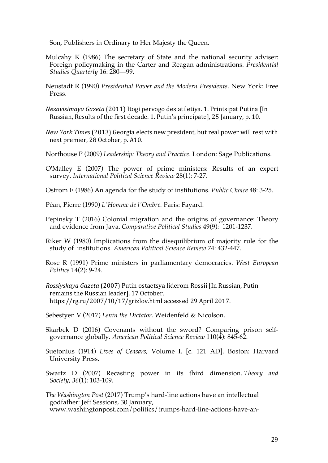Son, Publishers in Ordinary to Her Majesty the Queen.

- Mulcahy K (1986) The secretary of State and the national security adviser: Foreign policymaking in the Carter and Reagan administrations. *Presidential Studies Quarterly* 16: 280—99.
- Neustadt R (1990) *Presidential Power and the Modern Presidents*. New York: Free Press.
- *Nezavisimaya Gazeta* (2011) Itogi pervogo desiatiletiya. 1. Printsipat Putina [In Russian, Results of the first decade. 1. Putin's principate], 25 January, p. 10.
- *New York Times* (2013) Georgia elects new president, but real power will rest with next premier, 28 October, p. A10.
- Northouse P (2009) *Leadership: Theory and Practice*. London: Sage Publications.
- O'Malley E (2007) The power of prime ministers: Results of an expert survey. *International Political Science Review* 28(1): 7-27.
- Ostrom E (1986) An agenda for the study of institutions. *Public Choice* 48: 3-25.

Péan, Pierre (1990) *L'Homme de l'Ombre.* Paris: Fayard.

- Pepinsky T (2016) Colonial migration and the origins of governance: Theory and evidence from Java. *Comparative Political Studies* 49(9): 1201-1237.
- Riker W (1980) Implications from the disequilibrium of majority rule for the study of institutions. *American Political Science Review* 74: 432-447.
- Rose R (1991) Prime ministers in parliamentary democracies. *West European Politics* 14(2): 9-24.
- *Rossiyskaya Gazeta* (2007) Putin ostaetsya liderom Rossii [In Russian, Putin remains the Russian leader], 17 October, https://rg.ru/2007/10/17/grizlov.html accessed 29 April 2017.
- Sebestyen V (2017) *Lenin the Dictator*. Weidenfeld & Nicolson.
- Skarbek D (2016) Covenants without the sword? Comparing prison selfgovernance globally. *American Political Science Review* 110(4): 845-62.
- Suetonius (1914) *Lives of Ceasars*, Volume I. [c. 121 AD]. Boston: Harvard University Press.
- Swartz D (2007) Recasting power in its third dimension. *Theory and Society*, *36*(1): 103-109.
- T*he Washington Post* (2017) Trump's hard-line actions have an intellectual godfather: Jeff Sessions, 30 January, www.washingtonpost.com/politics/trumps-hard-line-actions-have-an-